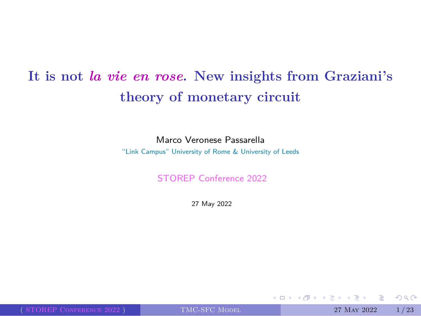**It is not** *la vie en rose***. New insights from Graziani's theory of monetary circuit**

> Marco Veronese Passarella "Link Campus" University of Rome & University of Leeds

> > STOREP Conference 2022

27 May 2022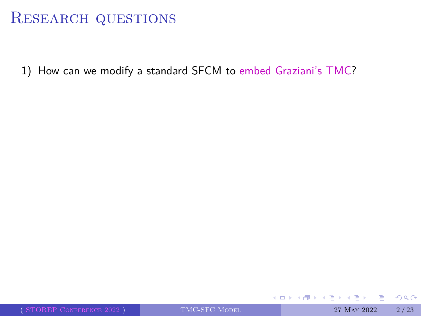1) How can we modify a standard SFCM to embed Graziani's TMC?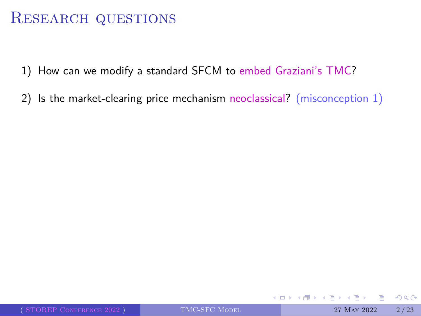- 1) How can we modify a standard SFCM to embed Graziani's TMC?
- 2) Is the market-clearing price mechanism neoclassical? (misconception 1)

 $\begin{aligned} \mathcal{L}_{\mathcal{L}}(\mathbb{R},\mathbb{R})\rightarrow\mathbb{R} \end{aligned}$ 

 $2QQ$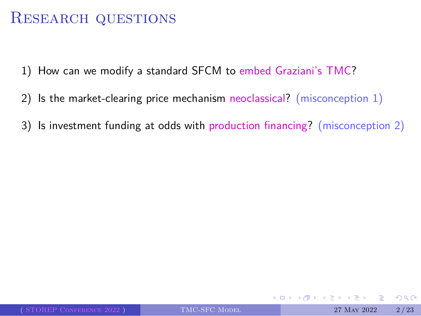- 1) How can we modify a standard SFCM to embed Graziani's TMC?
- 2) Is the market-clearing price mechanism neoclassical? (misconception 1)
- 3) Is investment funding at odds with production financing? (misconception 2)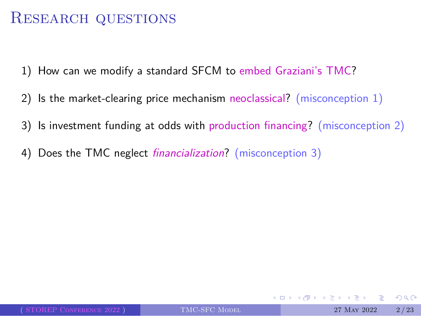- 1) How can we modify a standard SFCM to embed Graziani's TMC?
- 2) Is the market-clearing price mechanism neoclassical? (misconception 1)
- 3) Is investment funding at odds with production financing? (misconception 2)
- 4) Does the TMC neglect *financialization*? (misconception 3)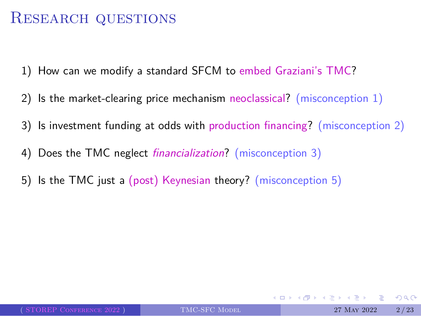- 1) How can we modify a standard SFCM to embed Graziani's TMC?
- 2) Is the market-clearing price mechanism neoclassical? (misconception 1)
- 3) Is investment funding at odds with production financing? (misconception 2)
- 4) Does the TMC neglect *financialization*? (misconception 3)
- 5) Is the TMC just a (post) Keynesian theory? (misconception 5)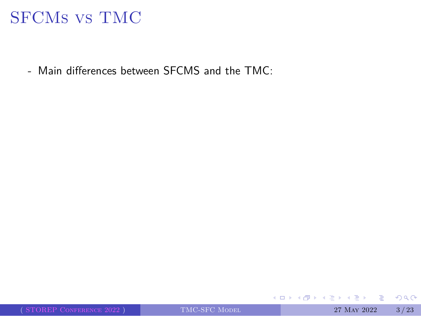- Main differences between SFCMS and the TMC: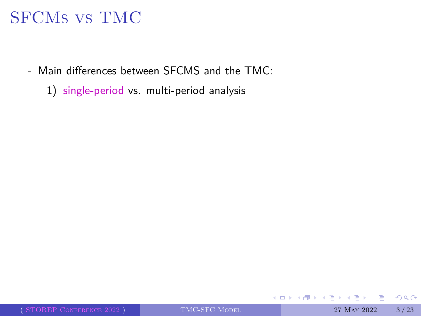- Main differences between SFCMS and the TMC:
	- 1) single-period vs. multi-period analysis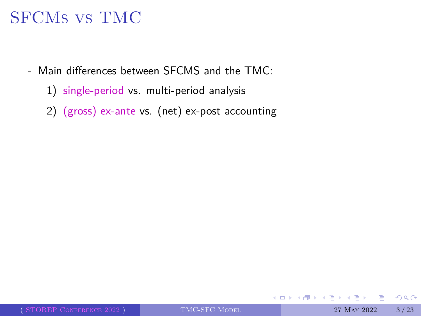- Main differences between SFCMS and the TMC:
	- 1) single-period vs. multi-period analysis
	- 2) (gross) ex-ante vs. (net) ex-post accounting

 $2QQ$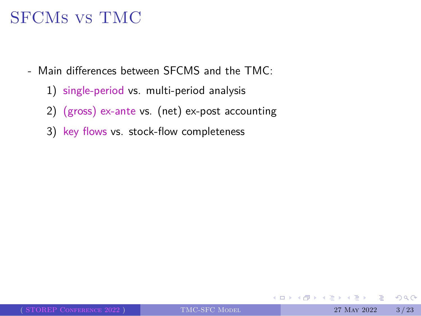- Main differences between SFCMS and the TMC:
	- 1) single-period vs. multi-period analysis
	- 2) (gross) ex-ante vs. (net) ex-post accounting
	- 3) key flows vs. stock-flow completeness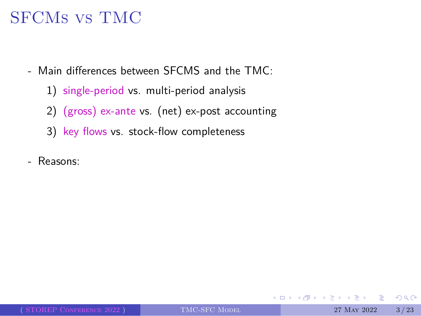- Main differences between SFCMS and the TMC:
	- 1) single-period vs. multi-period analysis
	- 2) (gross) ex-ante vs. (net) ex-post accounting
	- 3) key flows vs. stock-flow completeness
- Reasons: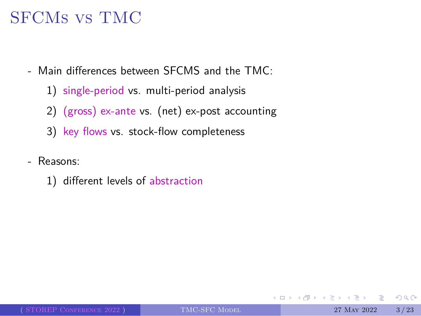- Main differences between SFCMS and the TMC:
	- 1) single-period vs. multi-period analysis
	- 2) (gross) ex-ante vs. (net) ex-post accounting
	- 3) key flows vs. stock-flow completeness
- Reasons:
	- 1) different levels of abstraction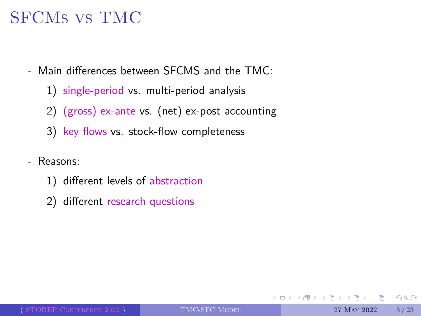- Main differences between SFCMS and the TMC:
	- 1) single-period vs. multi-period analysis
	- 2) (gross) ex-ante vs. (net) ex-post accounting
	- 3) key flows vs. stock-flow completeness
- Reasons:
	- 1) different levels of abstraction
	- 2) different research questions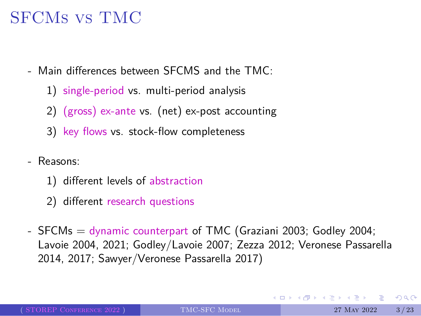- Main differences between SFCMS and the TMC:
	- 1) single-period vs. multi-period analysis
	- 2) (gross) ex-ante vs. (net) ex-post accounting
	- 3) key flows vs. stock-flow completeness
- Reasons:
	- 1) different levels of abstraction
	- 2) different research questions
- SFCMs = dynamic counterpart of TMC (Graziani 2003; Godley 2004; Lavoie 2004, 2021; Godley/Lavoie 2007; Zezza 2012; Veronese Passarella 2014, 2017; Sawyer/Veronese Passarella 2017)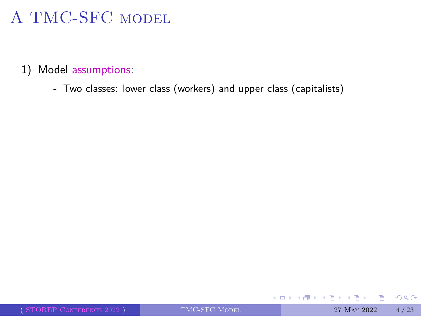#### 1) Model assumptions:

- Two classes: lower class (workers) and upper class (capitalists)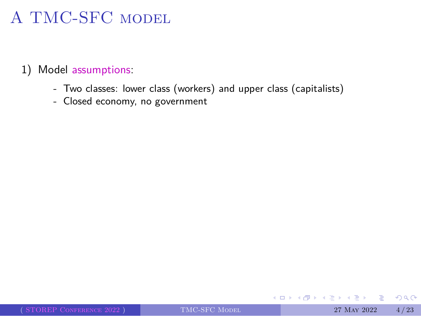- Two classes: lower class (workers) and upper class (capitalists)
- Closed economy, no government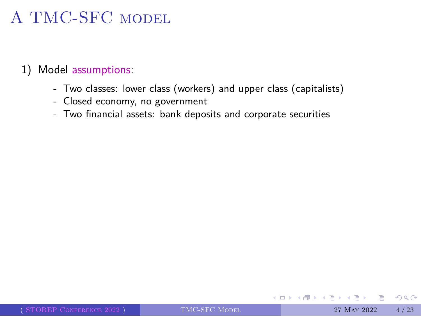#### 1) Model assumptions:

- Two classes: lower class (workers) and upper class (capitalists)
- Closed economy, no government
- Two financial assets: bank deposits and corporate securities

 $2QQ$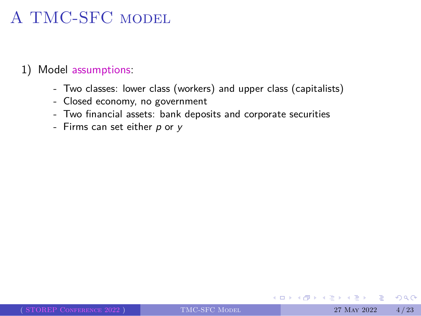- Two classes: lower class (workers) and upper class (capitalists)
- Closed economy, no government
- Two financial assets: bank deposits and corporate securities
- Firms can set either *p* or *y*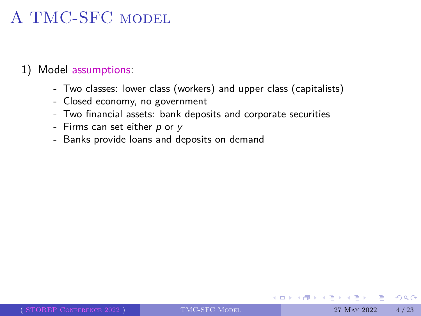- Two classes: lower class (workers) and upper class (capitalists)
- Closed economy, no government
- Two financial assets: bank deposits and corporate securities
- Firms can set either *p* or *y*
- Banks provide loans and deposits on demand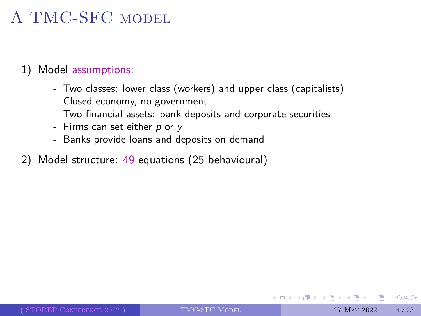- Two classes: lower class (workers) and upper class (capitalists)
- Closed economy, no government
- Two financial assets: bank deposits and corporate securities
- Firms can set either *p* or *y*
- Banks provide loans and deposits on demand
- 2) Model structure: 49 equations (25 behavioural)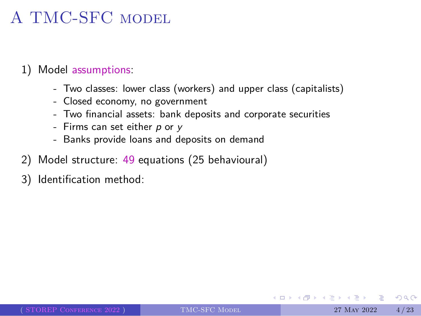- Two classes: lower class (workers) and upper class (capitalists)
- Closed economy, no government
- Two financial assets: bank deposits and corporate securities
- Firms can set either *p* or *y*
- Banks provide loans and deposits on demand
- 2) Model structure: 49 equations (25 behavioural)
- 3) Identification method: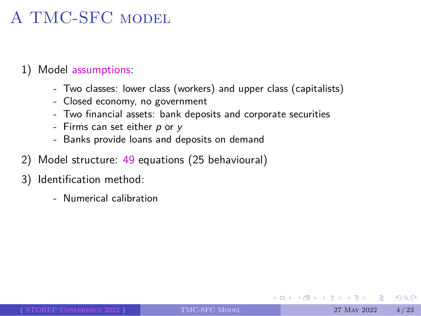- Two classes: lower class (workers) and upper class (capitalists)
- Closed economy, no government
- Two financial assets: bank deposits and corporate securities
- Firms can set either *p* or *y*
- Banks provide loans and deposits on demand
- 2) Model structure: 49 equations (25 behavioural)
- 3) Identification method:
	- Numerical calibration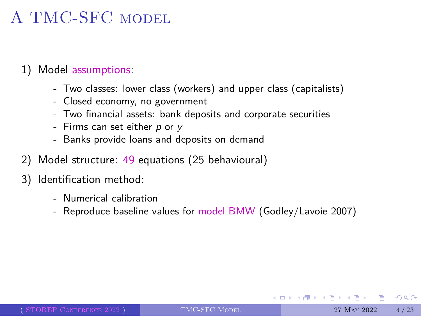- Two classes: lower class (workers) and upper class (capitalists)
- Closed economy, no government
- Two financial assets: bank deposits and corporate securities
- Firms can set either *p* or *y*
- Banks provide loans and deposits on demand
- 2) Model structure: 49 equations (25 behavioural)
- 3) Identification method:
	- Numerical calibration
	- Reproduce baseline values for model BMW (Godley/Lavoie 2007)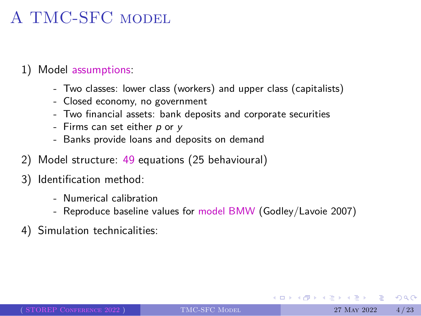- Two classes: lower class (workers) and upper class (capitalists)
- Closed economy, no government
- Two financial assets: bank deposits and corporate securities
- Firms can set either *p* or *y*
- Banks provide loans and deposits on demand
- 2) Model structure: 49 equations (25 behavioural)
- 3) Identification method:
	- Numerical calibration
	- Reproduce baseline values for model BMW (Godley/Lavoie 2007)
- 4) Simulation technicalities: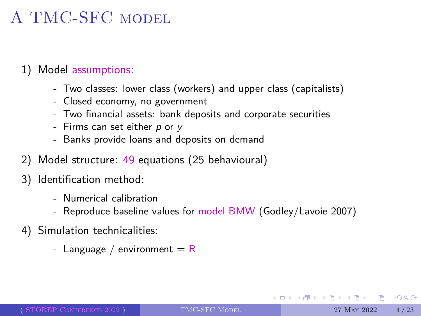- Two classes: lower class (workers) and upper class (capitalists)
- Closed economy, no government
- Two financial assets: bank deposits and corporate securities
- Firms can set either *p* or *y*
- Banks provide loans and deposits on demand
- 2) Model structure: 49 equations (25 behavioural)
- 3) Identification method:
	- Numerical calibration
		- Reproduce baseline values for model BMW (Godley/Lavoie 2007)
- 4) Simulation technicalities:
	- Language / environment  $=$  R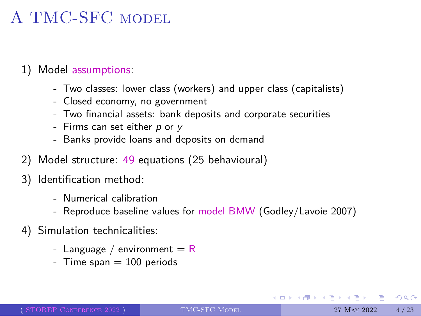- Two classes: lower class (workers) and upper class (capitalists)
- Closed economy, no government
- Two financial assets: bank deposits and corporate securities
- Firms can set either *p* or *y*
- Banks provide loans and deposits on demand
- 2) Model structure: 49 equations (25 behavioural)
- 3) Identification method:
	- Numerical calibration
	- Reproduce baseline values for model BMW (Godley/Lavoie 2007)
- 4) Simulation technicalities:
	- Language / environment  $=$  R
	- Time  $span = 100$  periods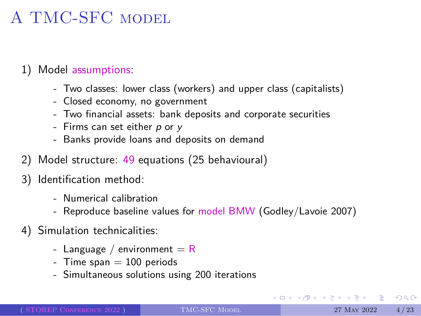- Two classes: lower class (workers) and upper class (capitalists)
- Closed economy, no government
- Two financial assets: bank deposits and corporate securities
- Firms can set either *p* or *y*
- Banks provide loans and deposits on demand
- 2) Model structure: 49 equations (25 behavioural)
- 3) Identification method:
	- Numerical calibration
	- Reproduce baseline values for model BMW (Godley/Lavoie 2007)
- 4) Simulation technicalities:
	- Language / environment  $=$  R
	- Time  $span = 100$  periods
	- Simultaneous solutions using 200 iterations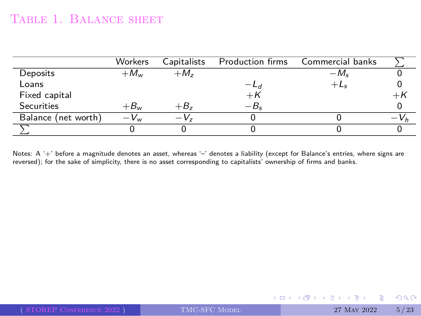#### TABLE 1. BALANCE SHEET

|                     | Workers  | Capitalists | Production firms | Commercial banks |            |
|---------------------|----------|-------------|------------------|------------------|------------|
| Deposits            | $+M_{w}$ | $+M_z$      |                  | $-M_{s}$         |            |
| Loans               |          |             | $-L_{d}$         | $+L_5$           |            |
| Fixed capital       |          |             | $+$ K            |                  |            |
| <b>Securities</b>   | $+B_w$   | $+B_z$      | $-B_{s}$         |                  |            |
| Balance (net worth) | $-V_{w}$ | $-V_z$      |                  |                  | <b>V</b> h |
|                     |          |             |                  |                  |            |

Notes: A '+' before a magnitude denotes an asset, whereas '-' denotes a liability (except for Balance's entries, where signs are<br>reversed); for the sake of simplicity, there is no asset corresponding to capitalists' owners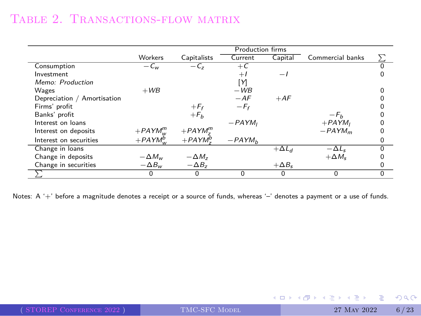#### Table 2. Transactions-flow matrix

|                             |                 |                 | <b>Production firms</b> |                          |                  |  |
|-----------------------------|-----------------|-----------------|-------------------------|--------------------------|------------------|--|
|                             | Workers         | Capitalists     | Current                 | Capital                  | Commercial banks |  |
| Consumption                 | $-c_{w}$        | $-C_{z}$        | $+ C$                   |                          |                  |  |
| Investment                  |                 |                 | $+1$                    | $\overline{\phantom{a}}$ |                  |  |
| Memo: Production            |                 |                 | ٢И                      |                          |                  |  |
| Wages                       | $+WB$           |                 | $-WB$                   |                          |                  |  |
| Depreciation / Amortisation |                 |                 | $-AF$                   | $+AF$                    |                  |  |
| Firms' profit               |                 | $+F_f$          | $-F_f$                  |                          |                  |  |
| Banks' profit               |                 | $+F_h$          |                         |                          | $-F_h$           |  |
| Interest on loans           |                 |                 | $-PAYM_1$               |                          | $+PAYM1$         |  |
| Interest on deposits        | $+ PAYMm$       | $+PAYM_{-}^{m}$ |                         |                          | $-PAYM_m$        |  |
| Interest on securities      | $+PAYM^b$       | $+ PAYM^D$      | $-PAYMb$                |                          |                  |  |
| Change in loans             |                 |                 |                         | $+\Delta L_d$            | $-\Delta L_{s}$  |  |
| Change in deposits          | $-\Delta M_w$   | $-\Delta M_z$   |                         |                          | $+\Delta M_{s}$  |  |
| Change in securities        | $-\Delta B_{w}$ | $-\Delta B_z$   |                         | $+\Delta B_s$            |                  |  |
|                             |                 | 0               |                         | $\Omega$                 |                  |  |

Notes: A '+' before a magnitude denotes a receipt or a source of funds, whereas '–' denotes a payment or a use of funds.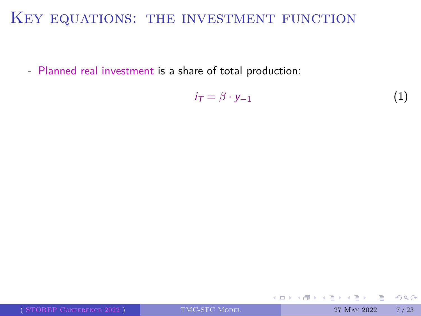## KEY EQUATIONS: THE INVESTMENT FUNCTION

- Planned real investment is a share of total production:

$$
i_{\mathcal{T}} = \beta \cdot y_{-1} \tag{1}
$$

|                          |               | - イロト イ母 トイヨ トイヨ トーヨー めなの |      |
|--------------------------|---------------|---------------------------|------|
| (STOREP CONFERENCE 2022) | TMC-SFC MODEL | 27 MAY 2022               | 7/23 |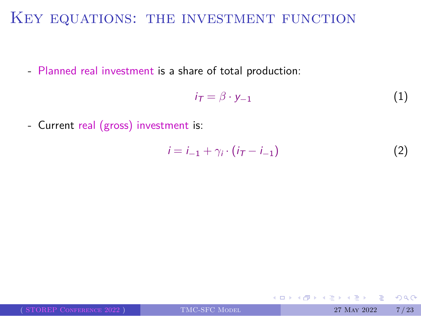# KEY EQUATIONS: THE INVESTMENT FUNCTION

- Planned real investment is a share of total production:

$$
i_{\mathcal{T}} = \beta \cdot y_{-1} \tag{1}
$$

- Current real (gross) investment is:

$$
i = i_{-1} + \gamma_i \cdot (i_{\mathcal{T}} - i_{-1}) \tag{2}
$$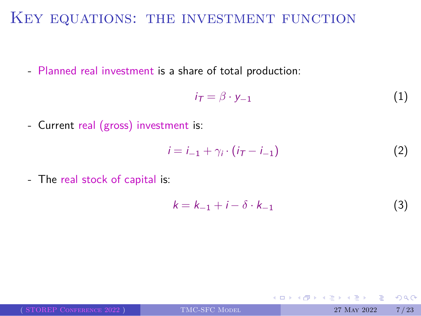# KEY EQUATIONS: THE INVESTMENT FUNCTION

- Planned real investment is a share of total production:

$$
i_{\mathcal{T}} = \beta \cdot y_{-1} \tag{1}
$$

- Current real (gross) investment is:

$$
i = i_{-1} + \gamma_i \cdot (i_{\tau} - i_{-1}) \tag{2}
$$

- The real stock of capital is:

$$
k = k_{-1} + i - \delta \cdot k_{-1} \tag{3}
$$

|                          |               | - K □ K K @ K K ミ K K E K C L K O Q (^ ) |      |
|--------------------------|---------------|------------------------------------------|------|
| (STOREP CONFERENCE 2022) | TMC-SFC MODEL | 27 MAY 2022                              | 7/23 |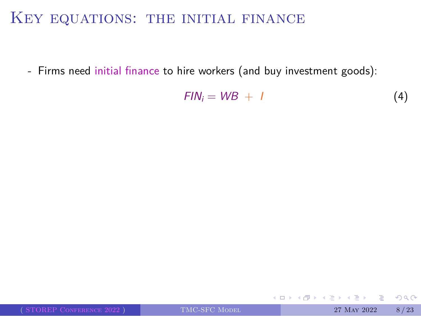# KEY EQUATIONS: THE INITIAL FINANCE

- Firms need initial finance to hire workers (and buy investment goods):

$$
FIN_i = WB + I \tag{4}
$$

|                          |               | - イロト イ母 トイヨ トイヨ トーヨー わなの |      |
|--------------------------|---------------|---------------------------|------|
| (STOREP CONFERENCE 2022) | TMC-SFC MODEL | 27 MAY 2022               | 8/23 |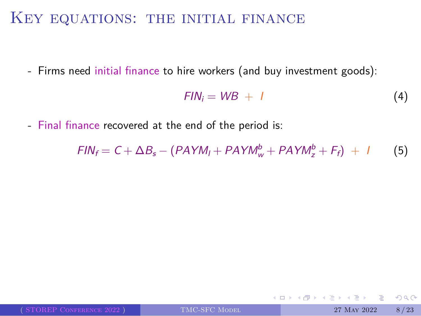# KEY EQUATIONS: THE INITIAL FINANCE

- Firms need initial finance to hire workers (and buy investment goods):

$$
FIN_i = WB + I \tag{4}
$$

- Final finance recovered at the end of the period is:

$$
FIN_f = C + \Delta B_s - (PAYM_I + PAYM_w^b + PAYM_z^b + F_f) + I
$$
 (5)

|                          |               | - K □ ▶ K 部 ▶ K ヨ ▶ K ヨ ▶ - 그리 → 이야이 » |  |
|--------------------------|---------------|----------------------------------------|--|
| (STOREP CONFERENCE 2022) | TMC-SFC MODEL | 27 May 2022 8/23                       |  |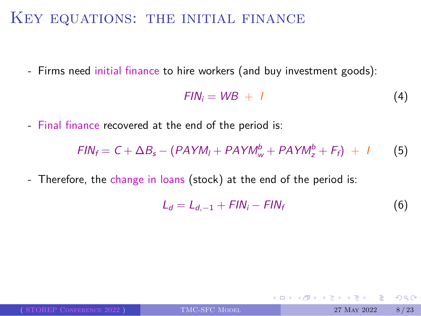### KEY EQUATIONS: THE INITIAL FINANCE

- Firms need initial finance to hire workers (and buy investment goods):

$$
FIN_i = WB + I \tag{4}
$$

- Final finance recovered at the end of the period is:

$$
FIN_f = C + \Delta B_s - (PAYM_I + PAYM_w^b + PAYM_z^b + F_f) + I
$$
 (5)

- Therefore, the change in loans (stock) at the end of the period is:

$$
L_d = L_{d,-1} + FIN_i - FIN_f \tag{6}
$$

|                          |               | - K □ ▶ K @ ▶ K 글 ▶ K 글 ▶ - 글 - K 9 Q (2) - |      |
|--------------------------|---------------|---------------------------------------------|------|
| (STOREP CONFERENCE 2022) | TMC-SFC MODEL | 27 MAY 2022                                 | 8/23 |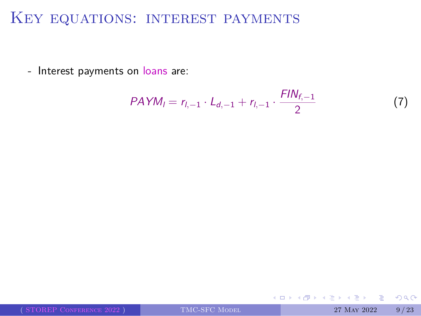### Key equations: interest payments

- Interest payments on loans are:

$$
PAYM_l = r_{l,-1} \cdot L_{d,-1} + r_{l,-1} \cdot \frac{FIN_{f,-1}}{2} \tag{7}
$$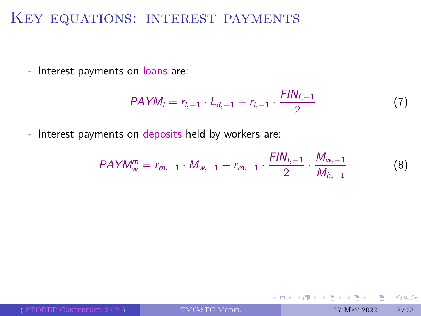# Key equations: interest payments

- Interest payments on loans are:

$$
PAYM_l = r_{l,-1} \cdot L_{d,-1} + r_{l,-1} \cdot \frac{FIN_{f,-1}}{2} \tag{7}
$$

- Interest payments on deposits held by workers are:

$$
PAYM_w^m = r_{m,-1} \cdot M_{w,-1} + r_{m,-1} \cdot \frac{FIN_{f,-1}}{2} \cdot \frac{M_{w,-1}}{M_{h,-1}}
$$
(8)

|                          |               | - K □ K K @ K K ミ K K E K C L K G Q Q Q C |      |
|--------------------------|---------------|-------------------------------------------|------|
| (STOREP CONFERENCE 2022) | TMC-SFC MODEL | 27 MAY 2022                               | 9/23 |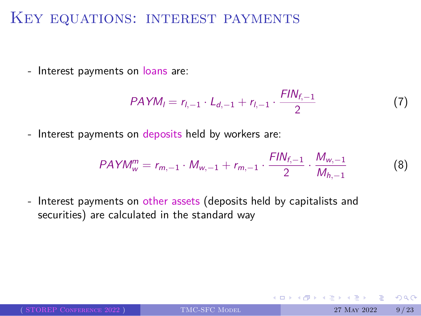#### KEY EQUATIONS: INTEREST PAYMENTS

- Interest payments on loans are:

$$
PAYM_l = r_{l,-1} \cdot L_{d,-1} + r_{l,-1} \cdot \frac{FIN_{f,-1}}{2} \tag{7}
$$

- Interest payments on deposits held by workers are:

$$
PAYM_w^m = r_{m,-1} \cdot M_{w,-1} + r_{m,-1} \cdot \frac{FIN_{f,-1}}{2} \cdot \frac{M_{w,-1}}{M_{h,-1}}
$$
(8)

- Interest payments on other assets (deposits held by capitalists and securities) are calculated in the standard way

|                          |               | - K □ K K 귀 K K 크 K K 도 K H K K L K A Q (N K |  |
|--------------------------|---------------|----------------------------------------------|--|
| (STOREP CONFERENCE 2022) | TMC-SFC MODEL | 27 May 2022 9/23                             |  |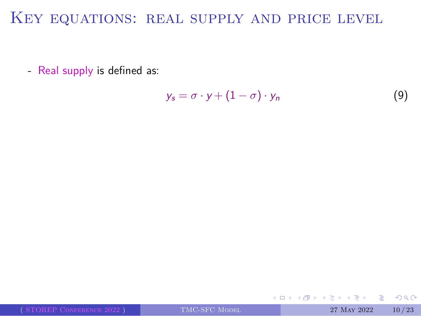# Key equations: real supply and price level

- Real supply is defined as:

$$
y_s = \sigma \cdot y + (1 - \sigma) \cdot y_n \tag{9}
$$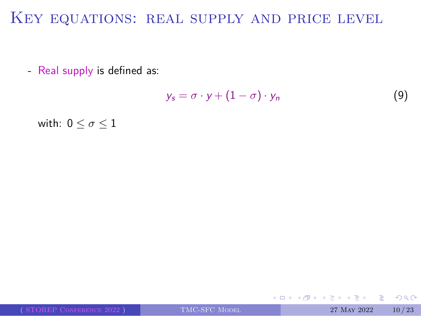# KEY EQUATIONS: REAL SUPPLY AND PRICE LEVEL

- Real supply is defined as:

$$
y_s = \sigma \cdot y + (1 - \sigma) \cdot y_n \tag{9}
$$

with:  $0 \leq \sigma \leq 1$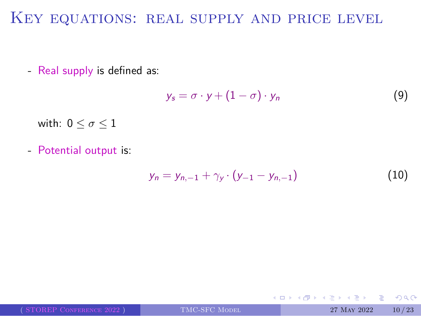# KEY EQUATIONS: REAL SUPPLY AND PRICE LEVEL

- Real supply is defined as:

$$
y_s = \sigma \cdot y + (1 - \sigma) \cdot y_n \tag{9}
$$

with:  $0 \leq \sigma \leq 1$ 

- Potential output is:

$$
y_n = y_{n,-1} + \gamma_y \cdot (y_{-1} - y_{n,-1}) \tag{10}
$$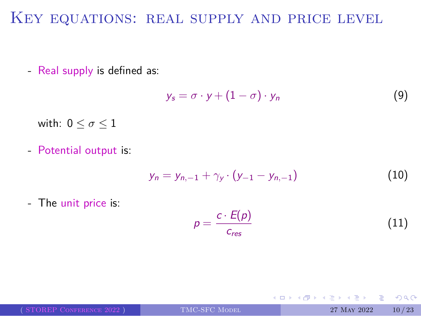# Key equations: real supply and price level

- Real supply is defined as:

$$
y_s = \sigma \cdot y + (1 - \sigma) \cdot y_n \tag{9}
$$

with:  $0 \leq \sigma \leq 1$ 

- Potential output is:

$$
y_n = y_{n,-1} + \gamma_y \cdot (y_{-1} - y_{n,-1}) \tag{10}
$$

- The unit price is:

$$
p = \frac{c \cdot E(p)}{c_{res}} \tag{11}
$$

|                          |               | - K □ K K @ K K ミ K K B K X K K K G K G K |       |
|--------------------------|---------------|-------------------------------------------|-------|
| (STOREP CONFERENCE 2022) | TMC-SFC MODEL | 27 MAY 2022                               | 10/23 |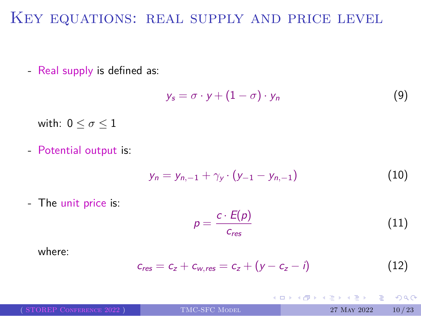#### KEY EQUATIONS: REAL SUPPLY AND PRICE LEVEL

- Real supply is defined as:

$$
y_s = \sigma \cdot y + (1 - \sigma) \cdot y_n \tag{9}
$$

with:  $0\leq\sigma\leq1$ 

- Potential output is:

$$
y_n = y_{n,-1} + \gamma_y \cdot (y_{-1} - y_{n,-1}) \tag{10}
$$

- The unit price is:

$$
p = \frac{c \cdot E(p)}{c_{res}} \tag{11}
$$

where:

 $c_{res} = c_z + c_{w,res} = c_z + (y - c_z - i)$  (12)

|                          |               | NU KNOKK NEKNEK E DAG |       |
|--------------------------|---------------|-----------------------|-------|
| (STOREP CONFERENCE 2022) | TMC-SFC MODEL | 27 MAY 2022           | 10/23 |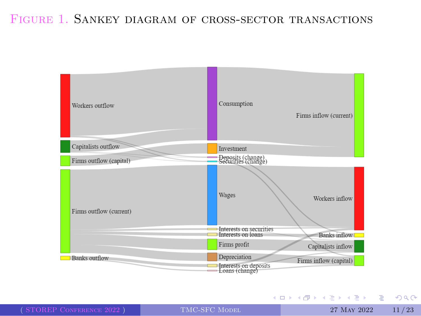#### FIGURE 1. SANKEY DIAGRAM OF CROSS-SECTOR TRANSACTIONS



À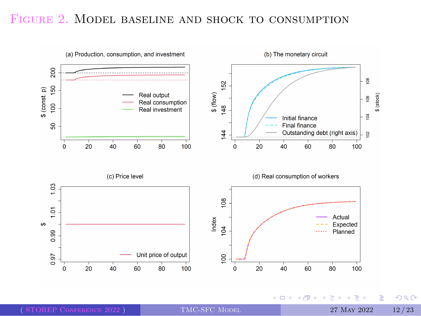

FIGURE 2. MODEL BASELINE AND SHOCK TO CONSUMPTION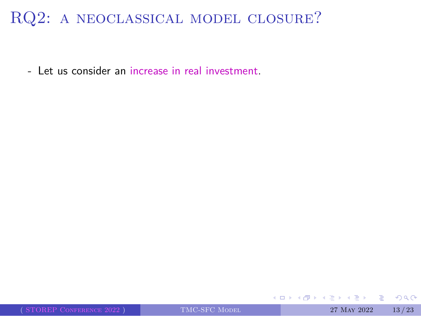- Let us consider an increase in real investment.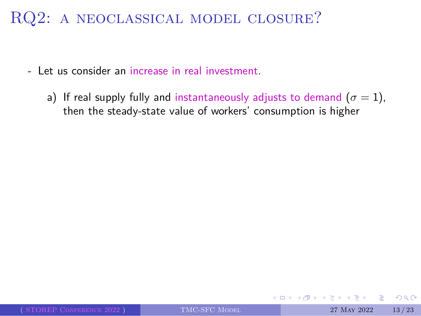- Let us consider an increase in real investment.
	- a) If real supply fully and instantaneously adjusts to demand  $(\sigma = 1)$ , then the steady-state value of workers' consumption is higher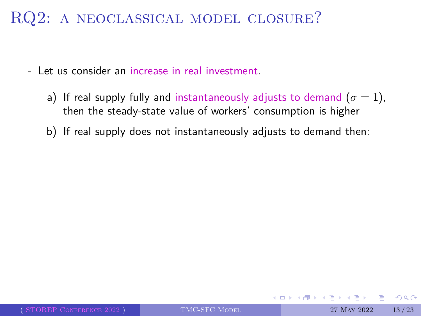- Let us consider an increase in real investment.
	- a) If real supply fully and instantaneously adjusts to demand  $(\sigma = 1)$ , then the steady-state value of workers' consumption is higher
	- b) If real supply does not instantaneously adjusts to demand then: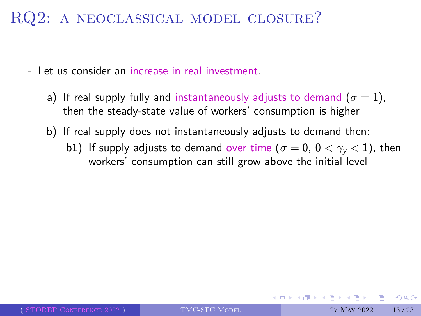- Let us consider an increase in real investment.
	- a) If real supply fully and instantaneously adjusts to demand  $(\sigma = 1)$ , then the steady-state value of workers' consumption is higher
	- b) If real supply does not instantaneously adjusts to demand then:
		- b1) If supply adjusts to demand over time ( $\sigma = 0$ ,  $0 < \gamma_y < 1$ ), then workers' consumption can still grow above the initial level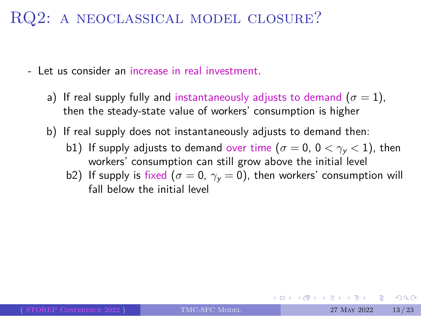- Let us consider an increase in real investment.
	- a) If real supply fully and instantaneously adjusts to demand  $(\sigma = 1)$ , then the steady-state value of workers' consumption is higher
	- b) If real supply does not instantaneously adjusts to demand then:
		- b1) If supply adjusts to demand over time ( $\sigma = 0$ ,  $0 < \gamma_y < 1$ ), then workers' consumption can still grow above the initial level
		- b2) If supply is fixed ( $\sigma = 0$ ,  $\gamma_y = 0$ ), then workers' consumption will fall below the initial level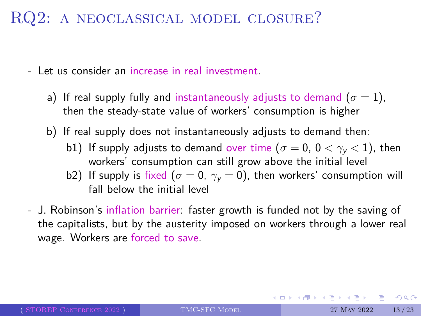- Let us consider an increase in real investment.
	- a) If real supply fully and instantaneously adjusts to demand  $(\sigma = 1)$ , then the steady-state value of workers' consumption is higher
	- b) If real supply does not instantaneously adjusts to demand then:
		- b1) If supply adjusts to demand over time ( $\sigma = 0$ ,  $0 < \gamma_y < 1$ ), then workers' consumption can still grow above the initial level
		- b2) If supply is fixed ( $\sigma = 0$ ,  $\gamma_y = 0$ ), then workers' consumption will fall below the initial level
- J. Robinson's inflation barrier: faster growth is funded not by the saving of the capitalists, but by the austerity imposed on workers through a lower real wage. Workers are forced to save.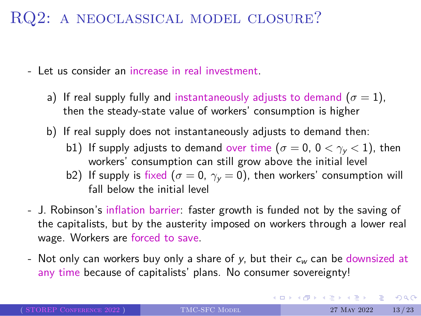#### RQ2: a neoclassical model closure?

- Let us consider an increase in real investment.
	- a) If real supply fully and instantaneously adjusts to demand  $(\sigma = 1)$ , then the steady-state value of workers' consumption is higher
	- b) If real supply does not instantaneously adjusts to demand then:
		- b1) If supply adjusts to demand over time ( $\sigma = 0$ ,  $0 < \gamma_y < 1$ ), then workers' consumption can still grow above the initial level
		- b2) If supply is fixed ( $\sigma = 0$ ,  $\gamma_y = 0$ ), then workers' consumption will fall below the initial level
- J. Robinson's inflation barrier: faster growth is funded not by the saving of the capitalists, but by the austerity imposed on workers through a lower real wage. Workers are forced to save.
- Not only can workers buy only a share of *y*, but their *c<sup>w</sup>* can be downsized at any time because of capitalists' plans. No consumer sovereignty!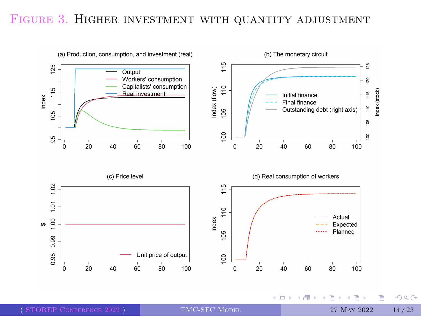

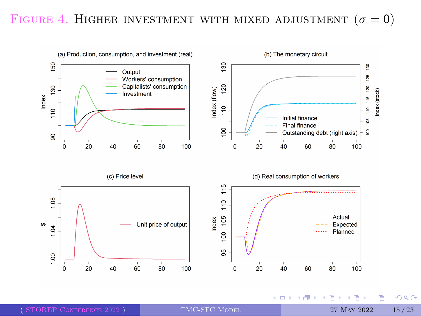

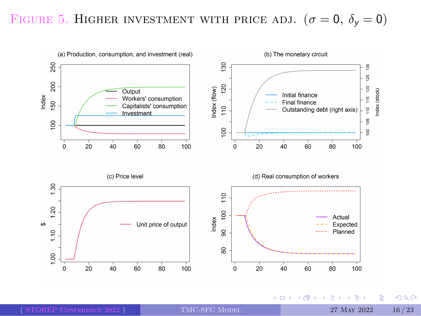

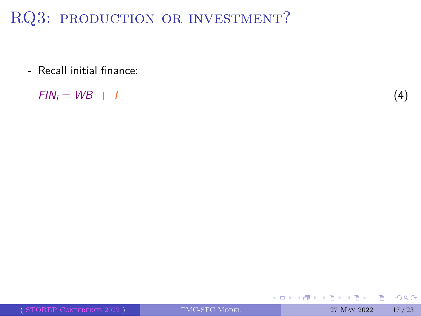- Recall initial finance:

 $FIN_i = WB + I$  (4)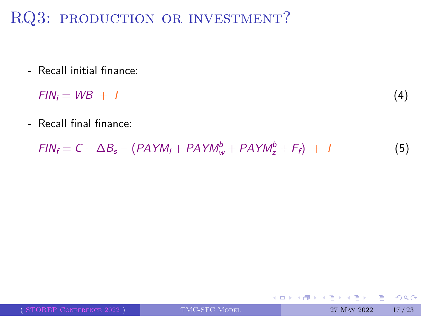- Recall initial finance:

$$
FIN_i = WB + I \tag{4}
$$

- Recall final finance:

$$
FIN_f = C + \Delta B_s - (PAYM_I + PAYM_w^b + PAYM_z^b + F_f) + I
$$
\n(5)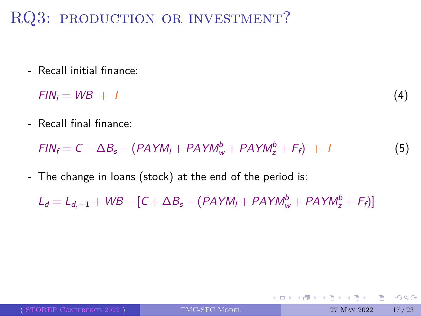- Recall initial finance:

$$
FIN_i = WB + I \tag{4}
$$

- Recall final finance:

$$
FIN_f = C + \Delta B_s - (PAYM_I + PAYM_w^b + PAYM_z^b + F_f) + I
$$
\n(5)

- The change in loans (stock) at the end of the period is:

 $L_d = L_{d,-1} + WB - [C + \Delta B_s - (PAYM_l + PAYM_w^b + PAYM_z^b + F_f)]$ 

|                          |               | - K □ ▶ K @ ▶ K ミ ▶ K ミ ▶ - ' 곧' - ^O Q @ - ' |             |       |
|--------------------------|---------------|-----------------------------------------------|-------------|-------|
| (STOREP CONFERENCE 2022) | TMC-SFC MODEL |                                               | 27 MAY 2022 | 17/23 |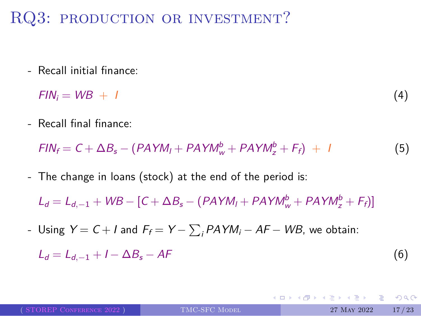- Recall initial finance:

$$
FIN_i = WB + I \tag{4}
$$

- Recall final finance:

$$
FIN_f = C + \Delta B_s - (PAYM_I + PAYM_w^b + PAYM_z^b + F_f) + I
$$
\n(5)

- The change in loans (stock) at the end of the period is:

 $L_d = L_{d,-1} + WB - [C + \Delta B_s - (PAYM_l + PAYM_w^b + PAYM_z^b + F_f)]$ 

- Using *Y* = *C* + *I* and *F<sup>f</sup>* = *Y −* ∑ *<sup>i</sup> PAYM<sup>i</sup> − AF − WB*, we obtain:
- $L_d = L_{d,-1} + I \Delta B_s AF$  (6)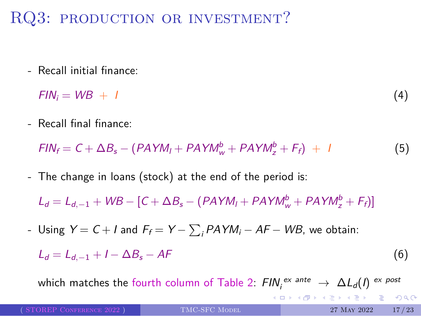- Recall initial finance:

$$
FIN_i = WB + I \tag{4}
$$

- Recall final finance:

$$
FIN_f = C + \Delta B_s - (PAYM_I + PAYM_w^b + PAYM_z^b + F_f) + I
$$
\n(5)

- The change in loans (stock) at the end of the period is:

 $L_d = L_{d,-1} + WB - [C + \Delta B_s - (PAYM_l + PAYM_w^b + PAYM_z^b + F_f)]$ 

- Using *Y* = *C* + *I* and *F<sup>f</sup>* = *Y −* ∑ *<sup>i</sup> PAYM<sup>i</sup> − AF − WB*, we obtain:
	- $L_d = L_{d,-1} + I \Delta B_s AF$  (6)

which matches the fourth column of Table 2:  $\mathsf{FIN}_i^{ex\, \mathsf{ante}} \to \Delta L_d(I) \stackrel{\mathsf{ex\, post}}{\longrightarrow}$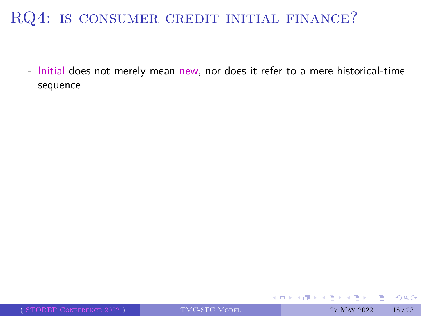- Initial does not merely mean new, nor does it refer to a mere historical-time sequence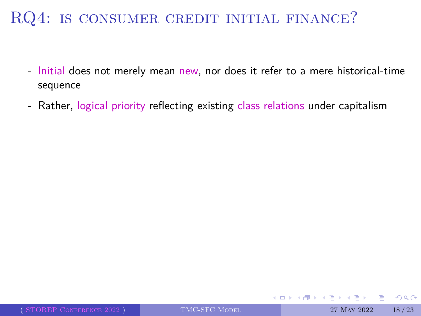- Initial does not merely mean new, nor does it refer to a mere historical-time sequence
- Rather, logical priority reflecting existing class relations under capitalism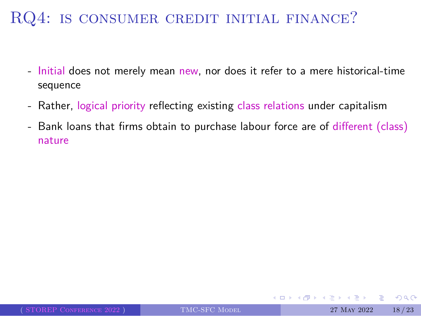- Initial does not merely mean new, nor does it refer to a mere historical-time sequence
- Rather, logical priority reflecting existing class relations under capitalism
- Bank loans that firms obtain to purchase labour force are of different (class) nature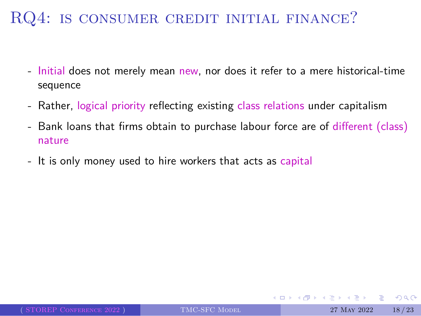- Initial does not merely mean new, nor does it refer to a mere historical-time sequence
- Rather, logical priority reflecting existing class relations under capitalism
- Bank loans that firms obtain to purchase labour force are of different (class) nature
- It is only money used to hire workers that acts as capital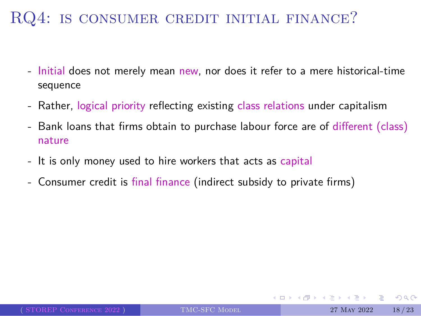- Initial does not merely mean new, nor does it refer to a mere historical-time sequence
- Rather, logical priority reflecting existing class relations under capitalism
- Bank loans that firms obtain to purchase labour force are of different (class) nature
- It is only money used to hire workers that acts as capital
- Consumer credit is final finance (indirect subsidy to private firms)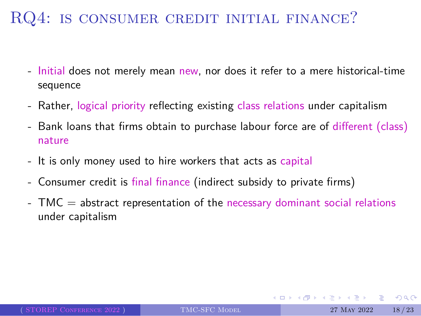- Initial does not merely mean new, nor does it refer to a mere historical-time sequence
- Rather, logical priority reflecting existing class relations under capitalism
- Bank loans that firms obtain to purchase labour force are of different (class) nature
- It is only money used to hire workers that acts as capital
- Consumer credit is final finance (indirect subsidy to private firms)
- TMC = abstract representation of the necessary dominant social relations under capitalism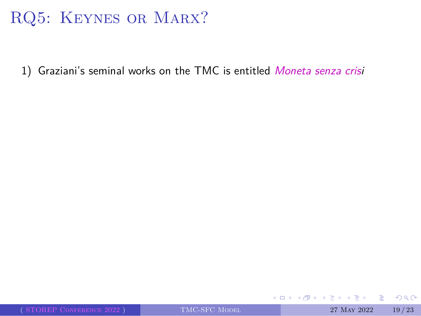# RQ5: KEYNES OR MARX?

1) Graziani's seminal works on the TMC is entitled *Moneta senza crisi*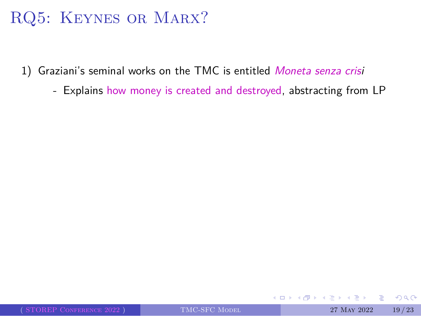- 1) Graziani's seminal works on the TMC is entitled *Moneta senza crisi*
	- Explains how money is created and destroyed, abstracting from LP

 $2QQ$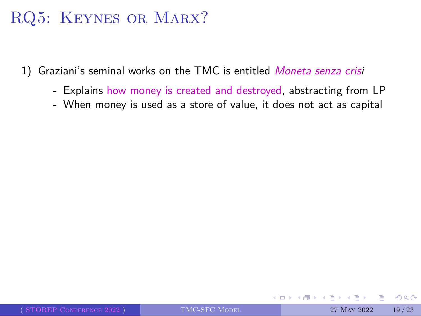- 1) Graziani's seminal works on the TMC is entitled *Moneta senza crisi*
	- Explains how money is created and destroyed, abstracting from LP
	- When money is used as a store of value, it does not act as capital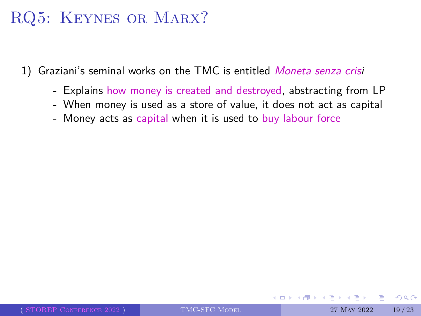- 1) Graziani's seminal works on the TMC is entitled *Moneta senza crisi*
	- Explains how money is created and destroyed, abstracting from LP
	- When money is used as a store of value, it does not act as capital
	- Money acts as capital when it is used to buy labour force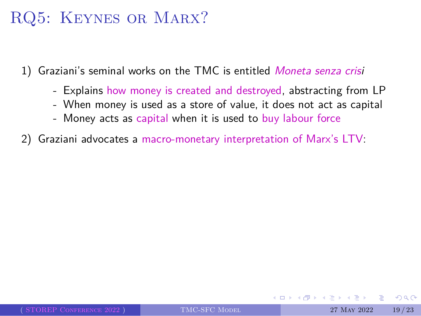- 1) Graziani's seminal works on the TMC is entitled *Moneta senza crisi*
	- Explains how money is created and destroyed, abstracting from LP
	- When money is used as a store of value, it does not act as capital
	- Money acts as capital when it is used to buy labour force
- 2) Graziani advocates a macro-monetary interpretation of Marx's LTV: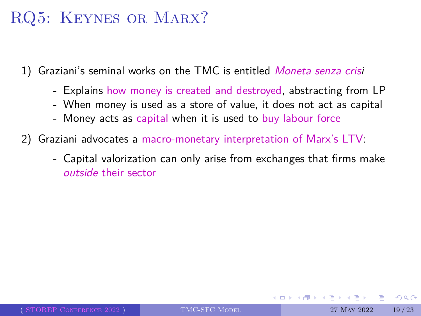- 1) Graziani's seminal works on the TMC is entitled *Moneta senza crisi*
	- Explains how money is created and destroyed, abstracting from LP
	- When money is used as a store of value, it does not act as capital
	- Money acts as capital when it is used to buy labour force
- 2) Graziani advocates a macro-monetary interpretation of Marx's LTV:
	- Capital valorization can only arise from exchanges that firms make *outside* their sector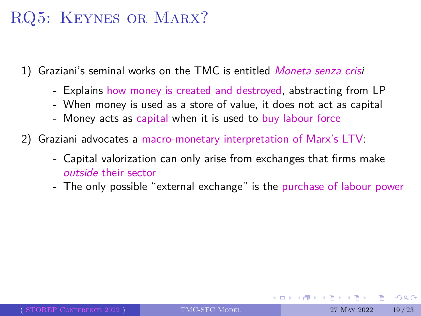- 1) Graziani's seminal works on the TMC is entitled *Moneta senza crisi*
	- Explains how money is created and destroyed, abstracting from LP
	- When money is used as a store of value, it does not act as capital
	- Money acts as capital when it is used to buy labour force
- 2) Graziani advocates a macro-monetary interpretation of Marx's LTV:
	- Capital valorization can only arise from exchanges that firms make *outside* their sector
	- The only possible "external exchange" is the purchase of labour power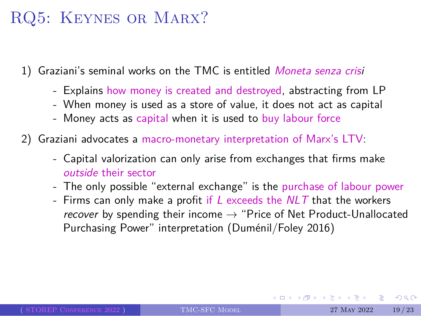- 1) Graziani's seminal works on the TMC is entitled *Moneta senza crisi*
	- Explains how money is created and destroyed, abstracting from LP
	- When money is used as a store of value, it does not act as capital
	- Money acts as capital when it is used to buy labour force
- 2) Graziani advocates a macro-monetary interpretation of Marx's LTV:
	- Capital valorization can only arise from exchanges that firms make *outside* their sector
	- The only possible "external exchange" is the purchase of labour power
	- Firms can only make a profit if *L* exceeds the *NLT* that the workers *recover* by spending their income *→* "Price of Net Product-Unallocated Purchasing Power" interpretation (Duménil/Foley 2016)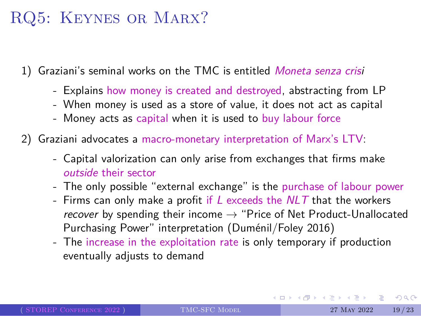- 1) Graziani's seminal works on the TMC is entitled *Moneta senza crisi*
	- Explains how money is created and destroyed, abstracting from LP
	- When money is used as a store of value, it does not act as capital
	- Money acts as capital when it is used to buy labour force
- 2) Graziani advocates a macro-monetary interpretation of Marx's LTV:
	- Capital valorization can only arise from exchanges that firms make *outside* their sector
	- The only possible "external exchange" is the purchase of labour power
	- Firms can only make a profit if *L* exceeds the *NLT* that the workers *recover* by spending their income *→* "Price of Net Product-Unallocated Purchasing Power" interpretation (Duménil/Foley 2016)
	- The increase in the exploitation rate is only temporary if production eventually adjusts to demand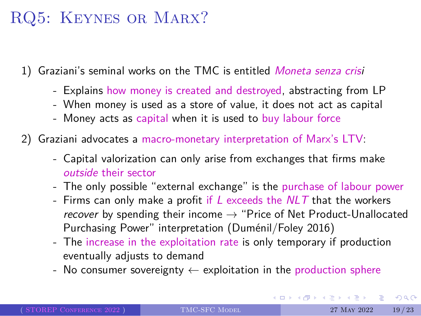- 1) Graziani's seminal works on the TMC is entitled *Moneta senza crisi*
	- Explains how money is created and destroyed, abstracting from LP
	- When money is used as a store of value, it does not act as capital
	- Money acts as capital when it is used to buy labour force
- 2) Graziani advocates a macro-monetary interpretation of Marx's LTV:
	- Capital valorization can only arise from exchanges that firms make *outside* their sector
	- The only possible "external exchange" is the purchase of labour power
	- Firms can only make a profit if *L* exceeds the *NLT* that the workers *recover* by spending their income *→* "Price of Net Product-Unallocated Purchasing Power" interpretation (Duménil/Foley 2016)
	- The increase in the exploitation rate is only temporary if production eventually adjusts to demand
	- No consumer sovereignty *←* exploitation in the production sphere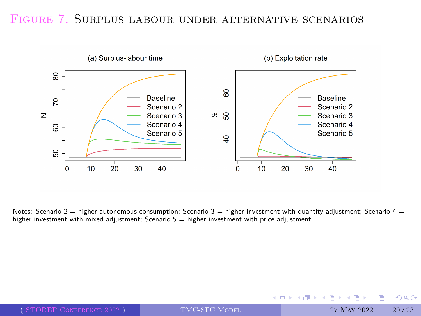#### Figure 7. Surplus labour under alternative scenarios



Notes: Scenario 2 = higher autonomous consumption; Scenario 3 = higher investment with quantity adjustment; Scenario 4 =<br>higher investment with mixed adjustment; Scenario 5 = higher investment with price adjustment

|                             |               | - ◆ ロ ▶ → 何 ▶ → ヨ ▶ → ヨ ▶ │ ヨ │ のQ企 │ |       |
|-----------------------------|---------------|---------------------------------------|-------|
| $($ STOREP CONFERENCE 2022) | TMC-SFC MODEL | 27 MAY 2022                           | 20/23 |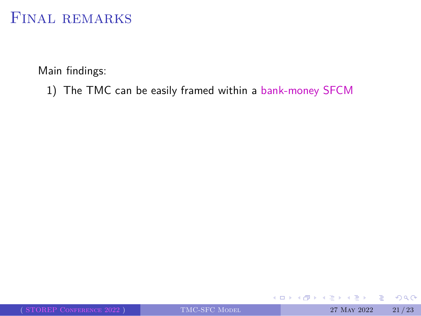#### Main findings:

1) The TMC can be easily framed within a bank-money SFCM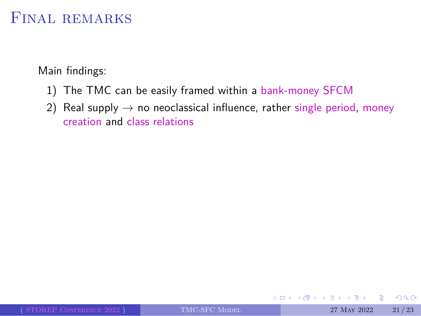- 1) The TMC can be easily framed within a bank-money SFCM
- 2) Real supply *→* no neoclassical influence, rather single period, money creation and class relations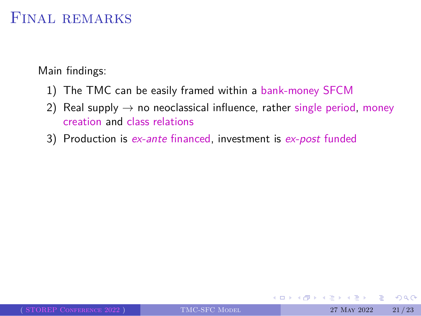- 1) The TMC can be easily framed within a bank-money SFCM
- 2) Real supply *→* no neoclassical influence, rather single period, money creation and class relations
- 3) Production is *ex-ante* financed, investment is *ex-post* funded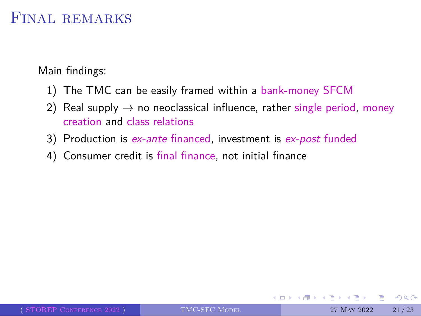- 1) The TMC can be easily framed within a bank-money SFCM
- 2) Real supply *→* no neoclassical influence, rather single period, money creation and class relations
- 3) Production is *ex-ante* financed, investment is *ex-post* funded
- 4) Consumer credit is final finance, not initial finance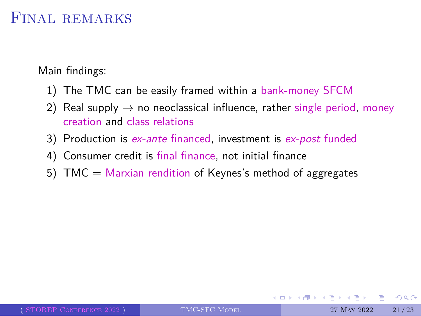- 1) The TMC can be easily framed within a bank-money SFCM
- 2) Real supply *→* no neoclassical influence, rather single period, money creation and class relations
- 3) Production is *ex-ante* financed, investment is *ex-post* funded
- 4) Consumer credit is final finance, not initial finance
- 5) TMC = Marxian rendition of Keynes's method of aggregates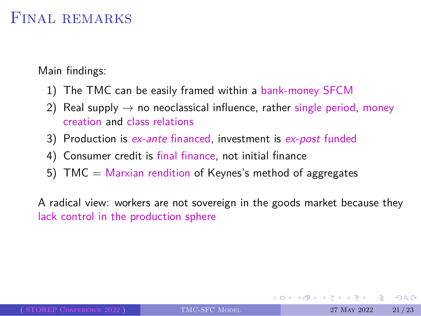Main findings:

- 1) The TMC can be easily framed within a bank-money SFCM
- 2) Real supply *→* no neoclassical influence, rather single period, money creation and class relations
- 3) Production is *ex-ante* financed, investment is *ex-post* funded
- 4) Consumer credit is final finance, not initial finance
- 5) TMC = Marxian rendition of Keynes's method of aggregates

A radical view: workers are not sovereign in the goods market because they lack control in the production sphere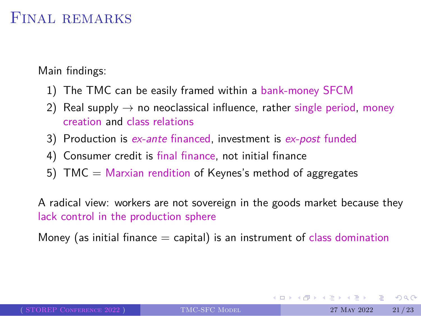#### Final remarks

Main findings:

- 1) The TMC can be easily framed within a bank-money SFCM
- 2) Real supply *→* no neoclassical influence, rather single period, money creation and class relations
- 3) Production is *ex-ante* financed, investment is *ex-post* funded
- 4) Consumer credit is final finance, not initial finance
- 5) TMC = Marxian rendition of Keynes's method of aggregates

A radical view: workers are not sovereign in the goods market because they lack control in the production sphere

Money (as initial finance  $=$  capital) is an instrument of class domination